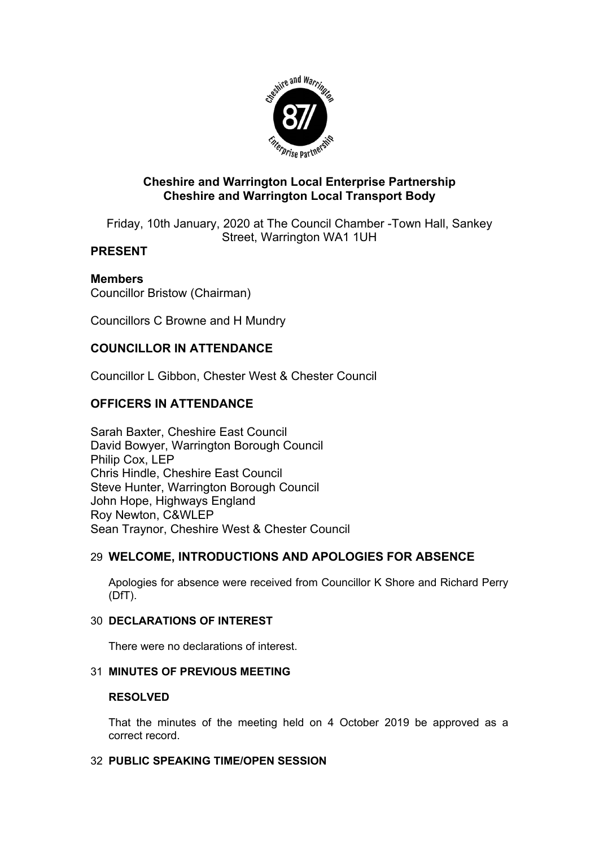

## **Cheshire and Warrington Local Enterprise Partnership Cheshire and Warrington Local Transport Body**

Friday, 10th January, 2020 at The Council Chamber -Town Hall, Sankey Street, Warrington WA1 1UH

# **PRESENT**

# **Members**

Councillor Bristow (Chairman)

Councillors C Browne and H Mundry

## **COUNCILLOR IN ATTENDANCE**

Councillor L Gibbon, Chester West & Chester Council

# **OFFICERS IN ATTENDANCE**

Sarah Baxter, Cheshire East Council David Bowyer, Warrington Borough Council Philip Cox, LEP Chris Hindle, Cheshire East Council Steve Hunter, Warrington Borough Council John Hope, Highways England Roy Newton, C&WLEP Sean Traynor, Cheshire West & Chester Council

## 29 **WELCOME, INTRODUCTIONS AND APOLOGIES FOR ABSENCE**

Apologies for absence were received from Councillor K Shore and Richard Perry (DfT).

### 30 **DECLARATIONS OF INTEREST**

There were no declarations of interest.

### 31 **MINUTES OF PREVIOUS MEETING**

### **RESOLVED**

That the minutes of the meeting held on 4 October 2019 be approved as a correct record.

### 32 **PUBLIC SPEAKING TIME/OPEN SESSION**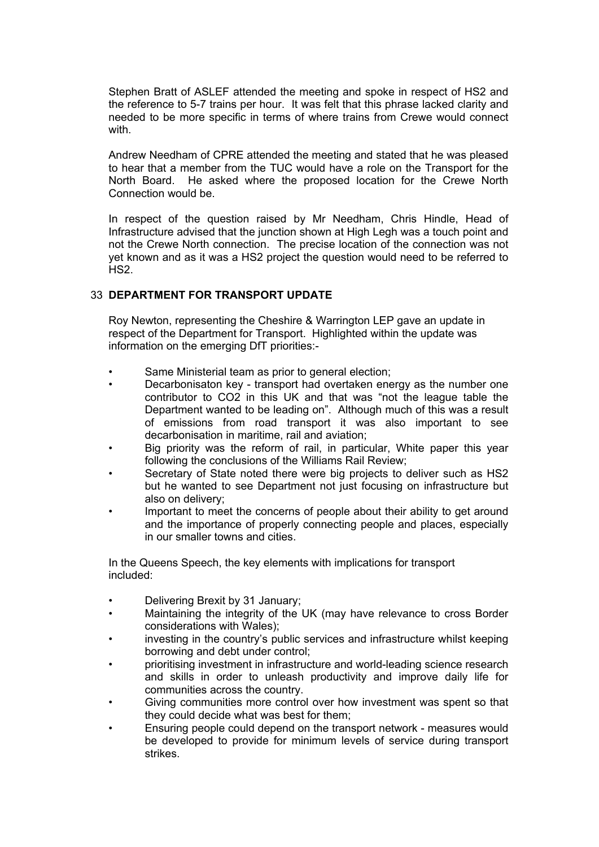Stephen Bratt of ASLEF attended the meeting and spoke in respect of HS2 and the reference to 5-7 trains per hour. It was felt that this phrase lacked clarity and needed to be more specific in terms of where trains from Crewe would connect with

Andrew Needham of CPRE attended the meeting and stated that he was pleased to hear that a member from the TUC would have a role on the Transport for the North Board. He asked where the proposed location for the Crewe North Connection would be.

In respect of the question raised by Mr Needham, Chris Hindle, Head of Infrastructure advised that the junction shown at High Legh was a touch point and not the Crewe North connection. The precise location of the connection was not yet known and as it was a HS2 project the question would need to be referred to H<sub>S2</sub>.

### 33 **DEPARTMENT FOR TRANSPORT UPDATE**

Roy Newton, representing the Cheshire & Warrington LEP gave an update in respect of the Department for Transport. Highlighted within the update was information on the emerging DfT priorities:-

- Same Ministerial team as prior to general election;
- Decarbonisaton key transport had overtaken energy as the number one contributor to CO2 in this UK and that was "not the league table the Department wanted to be leading on". Although much of this was a result of emissions from road transport it was also important to see decarbonisation in maritime, rail and aviation;
- Big priority was the reform of rail, in particular, White paper this year following the conclusions of the Williams Rail Review;
- Secretary of State noted there were big projects to deliver such as HS2 but he wanted to see Department not just focusing on infrastructure but also on delivery;
- Important to meet the concerns of people about their ability to get around and the importance of properly connecting people and places, especially in our smaller towns and cities.

In the Queens Speech, the key elements with implications for transport included:

- Delivering Brexit by 31 January;
- Maintaining the integrity of the UK (may have relevance to cross Border considerations with Wales);
- investing in the country's public services and infrastructure whilst keeping borrowing and debt under control;
- prioritising investment in infrastructure and world-leading science research and skills in order to unleash productivity and improve daily life for communities across the country.
- Giving communities more control over how investment was spent so that they could decide what was best for them;
- Ensuring people could depend on the transport network measures would be developed to provide for minimum levels of service during transport strikes.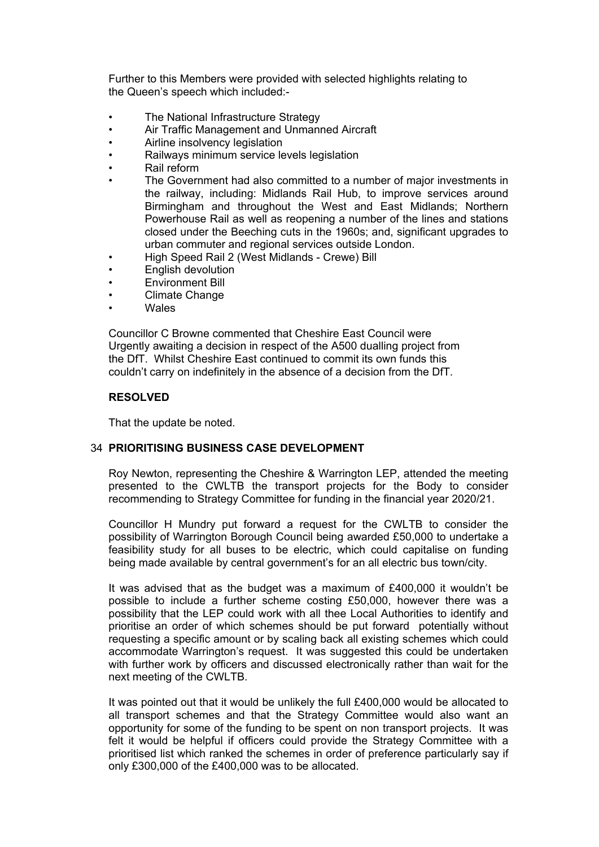Further to this Members were provided with selected highlights relating to the Queen's speech which included:-

- The National Infrastructure Strategy
- Air Traffic Management and Unmanned Aircraft
- Airline insolvency legislation
- Railways minimum service levels legislation
- Rail reform
- The Government had also committed to a number of major investments in the railway, including: Midlands Rail Hub, to improve services around Birmingham and throughout the West and East Midlands; Northern Powerhouse Rail as well as reopening a number of the lines and stations closed under the Beeching cuts in the 1960s; and, significant upgrades to urban commuter and regional services outside London.
- High Speed Rail 2 (West Midlands Crewe) Bill
- English devolution
- Environment Bill
- Climate Change
- **Wales**

Councillor C Browne commented that Cheshire East Council were Urgently awaiting a decision in respect of the A500 dualling project from the DfT. Whilst Cheshire East continued to commit its own funds this couldn't carry on indefinitely in the absence of a decision from the DfT.

### **RESOLVED**

That the update be noted.

#### 34 **PRIORITISING BUSINESS CASE DEVELOPMENT**

Roy Newton, representing the Cheshire & Warrington LEP, attended the meeting presented to the CWLTB the transport projects for the Body to consider recommending to Strategy Committee for funding in the financial year 2020/21.

Councillor H Mundry put forward a request for the CWLTB to consider the possibility of Warrington Borough Council being awarded £50,000 to undertake a feasibility study for all buses to be electric, which could capitalise on funding being made available by central government's for an all electric bus town/city.

It was advised that as the budget was a maximum of £400,000 it wouldn't be possible to include a further scheme costing £50,000, however there was a possibility that the LEP could work with all thee Local Authorities to identify and prioritise an order of which schemes should be put forward potentially without requesting a specific amount or by scaling back all existing schemes which could accommodate Warrington's request. It was suggested this could be undertaken with further work by officers and discussed electronically rather than wait for the next meeting of the CWLTB.

It was pointed out that it would be unlikely the full £400,000 would be allocated to all transport schemes and that the Strategy Committee would also want an opportunity for some of the funding to be spent on non transport projects. It was felt it would be helpful if officers could provide the Strategy Committee with a prioritised list which ranked the schemes in order of preference particularly say if only £300,000 of the £400,000 was to be allocated.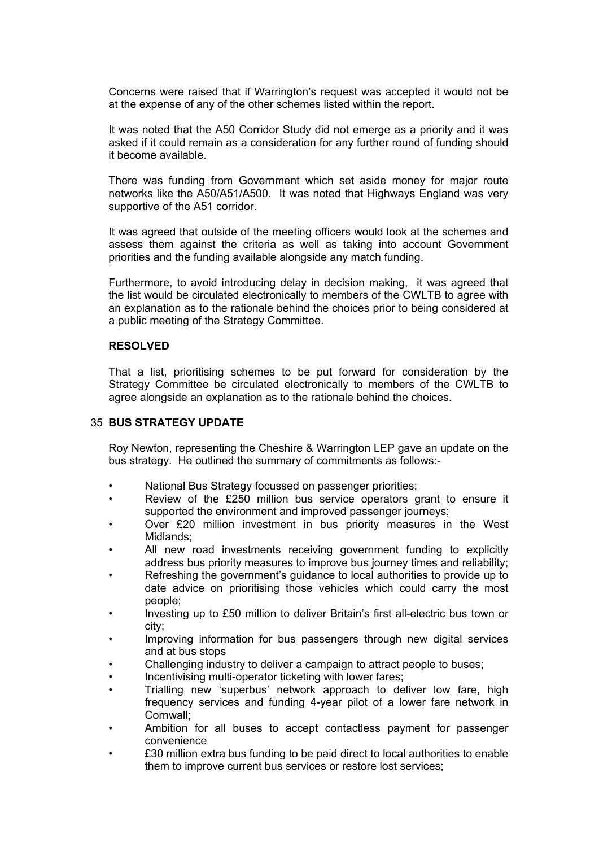Concerns were raised that if Warrington's request was accepted it would not be at the expense of any of the other schemes listed within the report.

It was noted that the A50 Corridor Study did not emerge as a priority and it was asked if it could remain as a consideration for any further round of funding should it become available.

There was funding from Government which set aside money for major route networks like the A50/A51/A500. It was noted that Highways England was very supportive of the A51 corridor.

It was agreed that outside of the meeting officers would look at the schemes and assess them against the criteria as well as taking into account Government priorities and the funding available alongside any match funding.

Furthermore, to avoid introducing delay in decision making, it was agreed that the list would be circulated electronically to members of the CWLTB to agree with an explanation as to the rationale behind the choices prior to being considered at a public meeting of the Strategy Committee.

### **RESOLVED**

That a list, prioritising schemes to be put forward for consideration by the Strategy Committee be circulated electronically to members of the CWLTB to agree alongside an explanation as to the rationale behind the choices.

### 35 **BUS STRATEGY UPDATE**

Roy Newton, representing the Cheshire & Warrington LEP gave an update on the bus strategy. He outlined the summary of commitments as follows:-

- National Bus Strategy focussed on passenger priorities;
- Review of the £250 million bus service operators grant to ensure it supported the environment and improved passenger journeys;
- Over £20 million investment in bus priority measures in the West Midlands;
- All new road investments receiving government funding to explicitly address bus priority measures to improve bus journey times and reliability;
- Refreshing the government's guidance to local authorities to provide up to date advice on prioritising those vehicles which could carry the most people;
- Investing up to £50 million to deliver Britain's first all-electric bus town or city;
- Improving information for bus passengers through new digital services and at bus stops
- Challenging industry to deliver a campaign to attract people to buses;
- Incentivising multi-operator ticketing with lower fares;
- Trialling new 'superbus' network approach to deliver low fare, high frequency services and funding 4-year pilot of a lower fare network in Cornwall;
- Ambition for all buses to accept contactless payment for passenger convenience
- £30 million extra bus funding to be paid direct to local authorities to enable them to improve current bus services or restore lost services;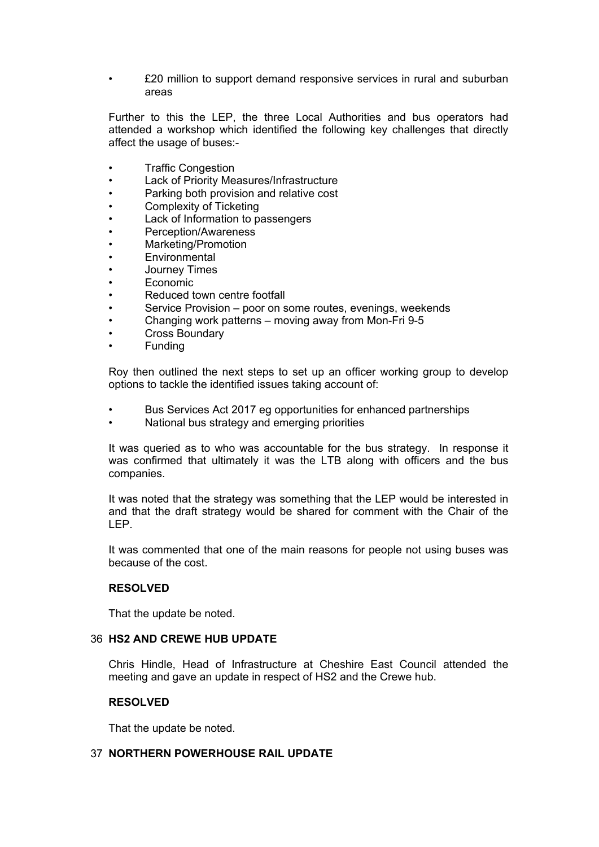• £20 million to support demand responsive services in rural and suburban areas

Further to this the LEP, the three Local Authorities and bus operators had attended a workshop which identified the following key challenges that directly affect the usage of buses:-

- Traffic Congestion
- Lack of Priority Measures/Infrastructure
- Parking both provision and relative cost
- Complexity of Ticketing
- Lack of Information to passengers
- Perception/Awareness
- Marketing/Promotion
- **Environmental**
- Journey Times
- Economic
- Reduced town centre footfall
- Service Provision poor on some routes, evenings, weekends
- Changing work patterns moving away from Mon-Fri 9-5
- Cross Boundary
- **Funding**

Roy then outlined the next steps to set up an officer working group to develop options to tackle the identified issues taking account of:

- Bus Services Act 2017 eg opportunities for enhanced partnerships
- National bus strategy and emerging priorities

It was queried as to who was accountable for the bus strategy. In response it was confirmed that ultimately it was the LTB along with officers and the bus companies.

It was noted that the strategy was something that the LEP would be interested in and that the draft strategy would be shared for comment with the Chair of the LEP.

It was commented that one of the main reasons for people not using buses was because of the cost.

### **RESOLVED**

That the update be noted.

#### 36 **HS2 AND CREWE HUB UPDATE**

Chris Hindle, Head of Infrastructure at Cheshire East Council attended the meeting and gave an update in respect of HS2 and the Crewe hub.

#### **RESOLVED**

That the update be noted.

### 37 **NORTHERN POWERHOUSE RAIL UPDATE**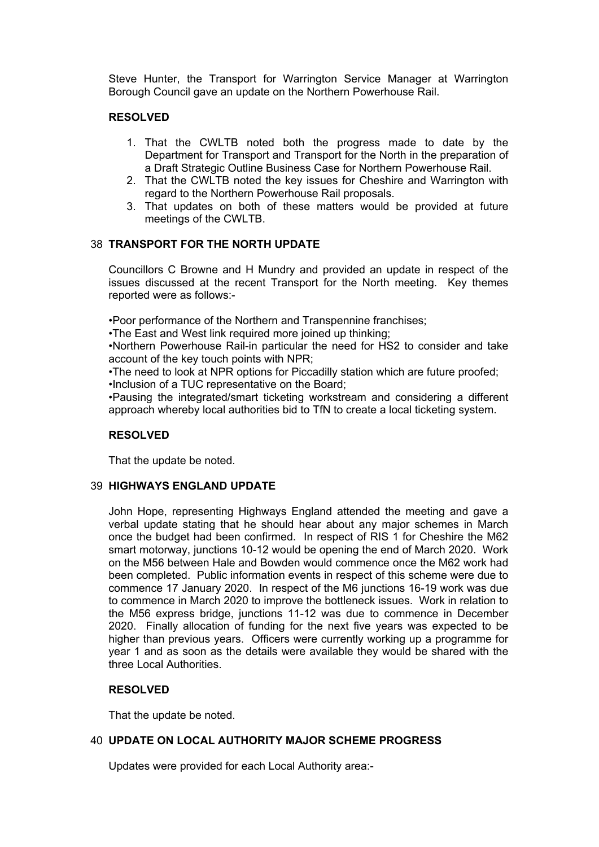Steve Hunter, the Transport for Warrington Service Manager at Warrington Borough Council gave an update on the Northern Powerhouse Rail.

### **RESOLVED**

- 1. That the CWLTB noted both the progress made to date by the Department for Transport and Transport for the North in the preparation of a Draft Strategic Outline Business Case for Northern Powerhouse Rail.
- 2. That the CWLTB noted the key issues for Cheshire and Warrington with regard to the Northern Powerhouse Rail proposals.
- 3. That updates on both of these matters would be provided at future meetings of the CWLTB.

### 38 **TRANSPORT FOR THE NORTH UPDATE**

Councillors C Browne and H Mundry and provided an update in respect of the issues discussed at the recent Transport for the North meeting. Key themes reported were as follows:-

•Poor performance of the Northern and Transpennine franchises;

•The East and West link required more joined up thinking;

•Northern Powerhouse Rail-in particular the need for HS2 to consider and take account of the key touch points with NPR;

•The need to look at NPR options for Piccadilly station which are future proofed;

•Inclusion of a TUC representative on the Board;

•Pausing the integrated/smart ticketing workstream and considering a different approach whereby local authorities bid to TfN to create a local ticketing system.

#### **RESOLVED**

That the update be noted.

#### 39 **HIGHWAYS ENGLAND UPDATE**

John Hope, representing Highways England attended the meeting and gave a verbal update stating that he should hear about any major schemes in March once the budget had been confirmed. In respect of RIS 1 for Cheshire the M62 smart motorway, junctions 10-12 would be opening the end of March 2020. Work on the M56 between Hale and Bowden would commence once the M62 work had been completed. Public information events in respect of this scheme were due to commence 17 January 2020. In respect of the M6 junctions 16-19 work was due to commence in March 2020 to improve the bottleneck issues. Work in relation to the M56 express bridge, junctions 11-12 was due to commence in December 2020. Finally allocation of funding for the next five years was expected to be higher than previous years. Officers were currently working up a programme for year 1 and as soon as the details were available they would be shared with the three Local Authorities.

### **RESOLVED**

That the update be noted.

### 40 **UPDATE ON LOCAL AUTHORITY MAJOR SCHEME PROGRESS**

Updates were provided for each Local Authority area:-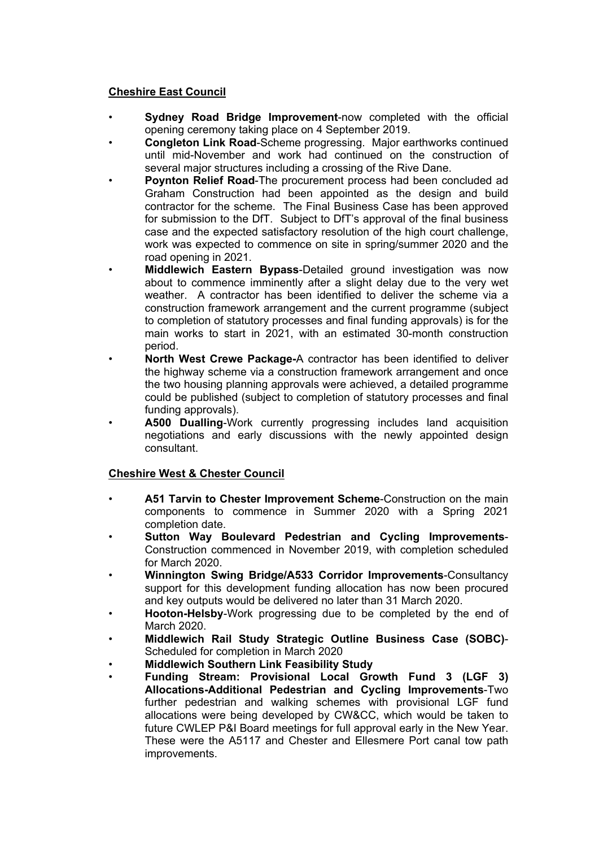## **Cheshire East Council**

- **Sydney Road Bridge Improvement**-now completed with the official opening ceremony taking place on 4 September 2019.
- **Congleton Link Road**-Scheme progressing. Major earthworks continued until mid-November and work had continued on the construction of several major structures including a crossing of the Rive Dane.
- **Poynton Relief Road**-The procurement process had been concluded ad Graham Construction had been appointed as the design and build contractor for the scheme. The Final Business Case has been approved for submission to the DfT. Subject to DfT's approval of the final business case and the expected satisfactory resolution of the high court challenge, work was expected to commence on site in spring/summer 2020 and the road opening in 2021.
- **Middlewich Eastern Bypass**-Detailed ground investigation was now about to commence imminently after a slight delay due to the very wet weather. A contractor has been identified to deliver the scheme via a construction framework arrangement and the current programme (subject to completion of statutory processes and final funding approvals) is for the main works to start in 2021, with an estimated 30-month construction period.
- **North West Crewe Package-**A contractor has been identified to deliver the highway scheme via a construction framework arrangement and once the two housing planning approvals were achieved, a detailed programme could be published (subject to completion of statutory processes and final funding approvals).
- **A500 Dualling**-Work currently progressing includes land acquisition negotiations and early discussions with the newly appointed design consultant.

## **Cheshire West & Chester Council**

- **A51 Tarvin to Chester Improvement Scheme**-Construction on the main components to commence in Summer 2020 with a Spring 2021 completion date.
- **Sutton Way Boulevard Pedestrian and Cycling Improvements**-Construction commenced in November 2019, with completion scheduled for March 2020.
- **Winnington Swing Bridge/A533 Corridor Improvements**-Consultancy support for this development funding allocation has now been procured and key outputs would be delivered no later than 31 March 2020.
- **Hooton-Helsby**-Work progressing due to be completed by the end of March 2020.
- **Middlewich Rail Study Strategic Outline Business Case (SOBC)** Scheduled for completion in March 2020
- **Middlewich Southern Link Feasibility Study**
- **Funding Stream: Provisional Local Growth Fund 3 (LGF 3) Allocations-Additional Pedestrian and Cycling Improvements**-Two further pedestrian and walking schemes with provisional LGF fund allocations were being developed by CW&CC, which would be taken to future CWLEP P&I Board meetings for full approval early in the New Year. These were the A5117 and Chester and Ellesmere Port canal tow path improvements.